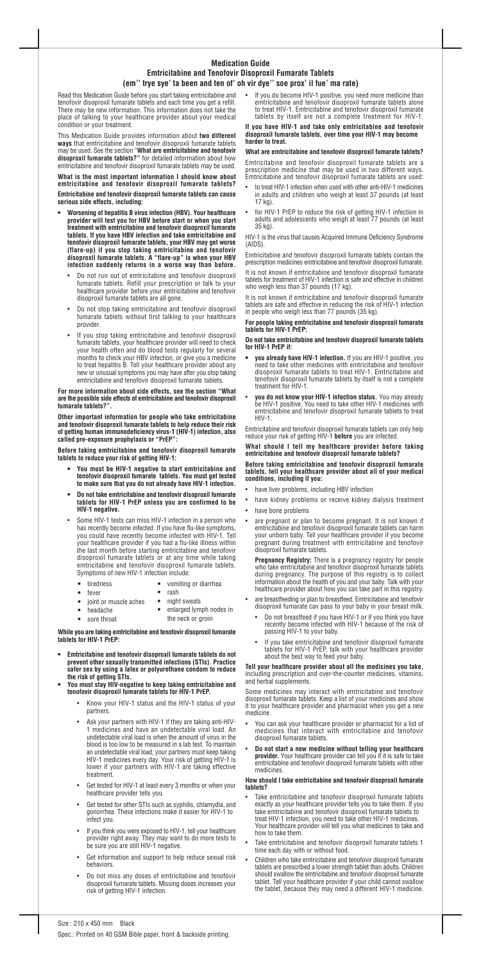Size : 210 x 450 mm Black

# **Medication Guide Emtricitabine and Tenofovir Disoproxil Fumarate Tablets** (em" trye sye' ta been and ten of' oh vir dye" soe prox' il fue' ma rate)

Spec.: Printed on 40 GSM Bible paper, front & backside printing.

Read this Medication Guide before you start taking emtricitabine and tenofovir disoproxil fumarate tablets and each time you get a refill. There may be new information. This information does not take the place of talking to your healthcare provider about your medical condition or your treatment.

This Medication Guide provides information about **two different ways** that emtricitabine and tenofovir disoproxil fumarate tablets may be used. See the section **What are emtricitabine and tenofovir disoproxil fumarate tablets?** for detailed information about how emtricitabine and tenofovir disoproxil fumarate tablets may be used.

**What is the most important information I should know about emtricitabine and tenofovir disoproxil fumarate tablets? Emtricitabine and tenofovir disoproxil fumarate tablets can cause**

**serious side effects, including:** 0 **Worsening of hepatitis B virus infection (HBV). Your healthcare provider will test you for HBV before start or when you start treatment with emtricitabine and tenofovir disoproxil fumarate**

**Other important information for people who take emtricitabine and tenofovir disoproxil fumarate tablets to help reduce their risk of getting human immunodeficiency virus-1 (HIV-1) infection, also** called pre-exposure prophylaxis or "PrEP":

- **tablets. If you have HBV infection and take emtricitabine and tenofovir disoproxil fumarate tablets, your HBV may get worse (flare-up) if you stop taking emtricitabine and tenofovir** disoproxil fumarate tablets. A "flare-up" is when your HBV **infection suddenly returns in a worse way than before.**
	- Do not run out of emtricitabine and tenofovir disoproxil fumarate tablets. Refill your prescription or talk to your healthcare provider before your emtricitabine and tenofovir disoproxil fumarate tablets are all gone.
	- . Do not stop taking emtricitabine and tenofovir disoproxil fumarate tablets without first talking to your healthcare provider.
	- . If you stop taking emtricitabine and tenofovir disoproxil fumarate tablets, your healthcare provider will need to check your health often and do blood tests regularly for several months to check your HBV infection, or give you a medicine to treat hepatitis B. Tell your healthcare provider about any new or unusual symptoms you may have after you stop taking emtricitabine and tenofovir disoproxil fumarate tablets.

- 0 **You must be HIV-1 negative to start emtricitabine and tenofovir disoproxil fumarate tablets. You must get tested to make sure that you do not already have HIV-1 infection.**
- 0 **Do not take emtricitabine and tenofovir disoproxil fumarate tablets for HIV-1 PrEP unless you are confirmed to be HIV-1 negative.**
- . Some HIV-1 tests can miss HIV-1 infection in a person who has recently become infected. If you have flu-like symptoms, you could have recently become infected with HIV-1. Tell your healthcare provider if you had a flu-like illness within the last month before starting emtricitabine and tenofovir disoproxil fumarate tablets or at any time while taking emtricitabine and tenofovir disoproxil fumarate tablets. Symptoms of new HIV-1 infection include:
	- tiredness
	- fever
	- joint or muscle aches
		- headache

 rash • night sweats

#### **For more information about side effects, see the section What are the possible side effects of emtricitabine and tenofovir disoproxil fumarate tablets?.**

 $\bullet$   $\;$  If you do become HIV-1 positive, you need more medicine than emtricitabine and tenofovir disoproxil fumarate tablets alone to treat HIV-1. Emtricitabine and tenofovir disoproxil fumarate tablets by itself are not a complete treatment for HIV-1.

**Before taking emtricitabine and tenofovir disoproxil fumarate tablets to reduce your risk of getting HIV-1:**

- c to treat HIV-1 infection when used with other anti-HIV-1 medicines in adults and children who weigh at least 37 pounds (at least 17 kg).
- $\bullet$  for HIV-1 PrEP to reduce the risk of getting HIV-1 infection in adults and adolescents who weigh at least 77 pounds (at least 35 kg).

vomiting or diarrhea

- 0 **you already have HIV-1 infection.** If you are HIV-1 positive, you need to take other medicines with emtricitabine and tenofovir disoproxil fumarate tablets to treat HIV-1. Emtricitabine and tenofovir disoproxil fumarate tablets by itself is not a complete treatment for HIV-1.
- c **you do not know your HIV-1 infection status.** You may already be HIV-1 positive. You need to take other HIV-1 medicines with emtricitabine and tenofovir disoproxil fumarate tablets to treat HIV-1.

- sore throat
- enlarged lymph nodes in the neck or groin

**While you are taking emtricitabine and tenofovir disoproxil fumarate tablets for HIV-1 PrEP:**

. are breastfeeding or plan to breastfeed. Emtricitabine and tenofovir disoproxil fumarate can pass to your baby in your breast milk.

- . Do not breastfeed if you have HIV-1 or if you think you have recently become infected with HIV-1 because of the risk of passing HIV-1 to your baby.
- . If you take emtricitabine and tenofovir disoproxil fumarate tablets for HIV-1 PrEP, talk with your healthcare provider about the best way to feed your baby.
- **Emtricitabine and tenofovir disoproxil fumarate tablets do not prevent other sexually transmitted infections (STIs). Practice safer sex by using a latex or polyurethane condom to reduce the risk of getting STIs.**
- **You must stay HIV-negative to keep taking emtricitabine and tenofovir disoproxil fumarate tablets for HIV-1 PrEP.**
	- 0 Know your HIV-1 status and the HIV-1 status of your partners.
	- 0 Ask your partners with HIV-1 if they are taking anti-HIV-1 medicines and have an undetectable viral load. An undetectable viral load is when the amount of virus in the blood is too low to be measured in a lab test. To maintain an undetectable viral load, your partners must keep taking HIV-1 medicines every day. Your risk of getting HIV-1 is lower if your partners with HIV-1 are taking effective treatment.
	- $\bullet$  Get tested for HIV-1 at least every 3 months or when your healthcare provider tells you.
	- 0 Get tested for other STIs such as syphilis, chlamydia, and gonorrhea. These infections make it easier for HIV-1 to infect you.
	- $\bullet$  If you think you were exposed to HIV-1, tell your healthcare provider right away. They may want to do more tests to be sure you are still HIV-1 negative.
	- $\bullet$  Get information and support to help reduce sexual risk behaviors.
	- 0 Do not miss any doses of emtricitabine and tenofovir disoproxil fumarate tablets. Missing doses increases your risk of getting HIV-1 infection.
- $\bullet$  You can ask your healthcare provider or pharmacist for a list of medicines that interact with emtricitabine and tenofovir disoproxil fumarate tablets.
- . **Do not start a new medicine without telling your healthcare provider.** Your healthcare provider can tell you if it is safe to take emtricitabine and tenofovir disoproxil fumarate tablets with other medicines.

- . Take emtricitabine and tenofovir disoproxil fumarate tablets exactly as your healthcare provider tells you to take them. If you take emtricitabine and tenofovir disoproxil fumarate tablets to treat HIV-1 infection, you need to take other HIV-1 medicines. Your healthcare provider will tell you what medicines to take and how to take them.
- 0 Take emtricitabine and tenofovir disoproxil fumarate tablets 1 time each day with or without food.
- . Children who take emtricitabine and tenofovir disoproxil fumarate tablets are prescribed a lower strength tablet than adults. Children should swallow the emtricitabine and tenofovir disoproxil fumarate tablet. Tell your healthcare provider if your child cannot swallow the tablet, because they may need a different HIV-1 medicine.

#### **If you have HIV-1 and take only emtricitabine and tenofovir disoproxil fumarate tablets, over time your HIV-1 may become harder to treat.**

## **What are emtricitabine and tenofovir disoproxil fumarate tablets?**

Emtricitabine and tenofovir disoproxil fumarate tablets are a prescription medicine that may be used in two different ways. Emtricitabine and tenofovir disoproxil fumarate tablets are used:

HIV-1 is the virus that causes Acquired Immune Deficiency Syndrome (AIDS).

Emtricitabine and tenofovir disoproxil fumarate tablets contain the prescription medicines emtricitabine and tenofovir disoproxil fumarate.

It is not known if emtricitabine and tenofovir disoproxil fumarate tablets for treatment of HIV-1 infection is safe and effective in children who weigh less than 37 pounds (17 kg).

It is not known if emtricitabine and tenofovir disoproxil fumarate tablets are safe and effective in reducing the risk of HIV-1 infection in people who weigh less than 77 pounds (35 kg).

## **For people taking emtricitabine and tenofovir disoproxil fumarate tablets for HIV-1 PrEP:**

#### **Do not take emtricitabine and tenofovir disoproxil fumarate tablets for HIV-1 PrEP if:**

Emtricitabine and tenofovir disoproxil fumarate tablets can only help reduce your risk of getting HIV-1 **before** you are infected.

#### **What should I tell my healthcare provider before taking emtricitabine and tenofovir disoproxil fumarate tablets?**

#### **Before taking emtricitabine and tenofovir disoproxil fumarate tablets, tell your healthcare provider about all of your medical conditions, including if you:**

- have liver problems, including HBV infection
- $\bullet$ have kidney problems or receive kidney dialysis treatment
- have bone problems
- . are pregnant or plan to become pregnant. It is not known if emtricitabine and tenofovir disoproxil fumarate tablets can harm your unborn baby. Tell your healthcare provider if you become pregnant during treatment with emtricitabine and tenofovir disoproxil fumarate tablets.

**Pregnancy Registry:** There is a pregnancy registry for people who take emtricitabine and tenofovir disoproxil fumarate tablets during pregnancy. The purpose of this registry is to collect information about the health of you and your baby. Talk with your healthcare provider about how you can take part in this registry.

**Tell your healthcare provider about all the medicines you take,** including prescription and over-the-counter medicines, vitamins, and herbal supplements.

Some medicines may interact with emtricitabine and tenofovir disoproxil fumarate tablets. Keep a list of your medicines and show it to your healthcare provider and pharmacist when you get a new medicine.

## **How should I take emtricitabine and tenofovir disoproxil fumarate tablets?**